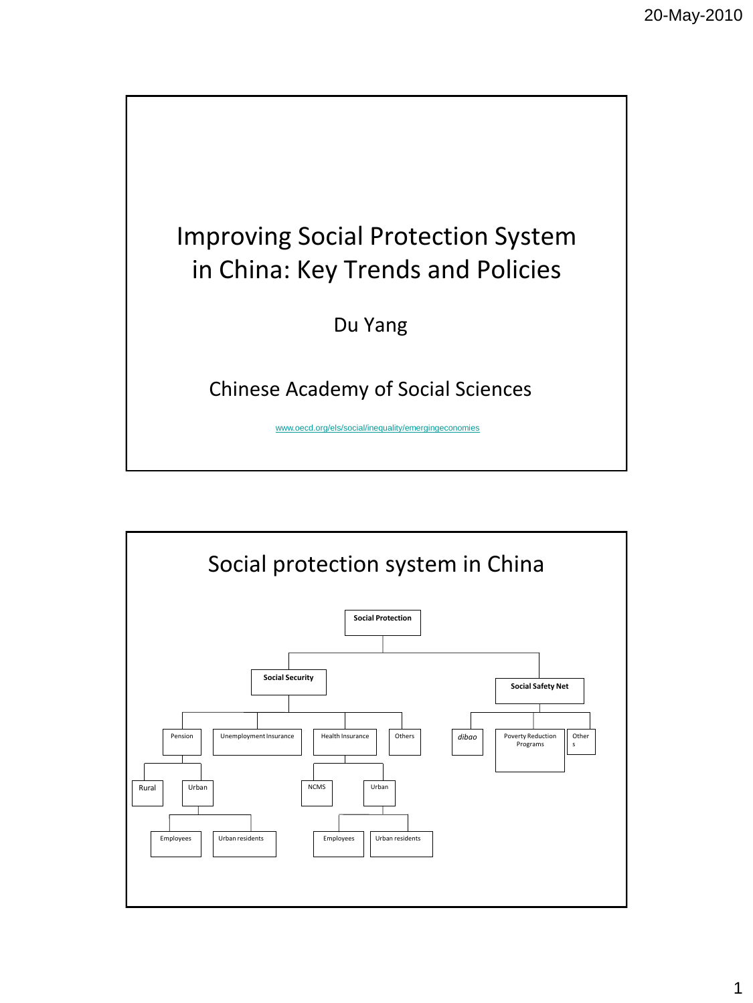

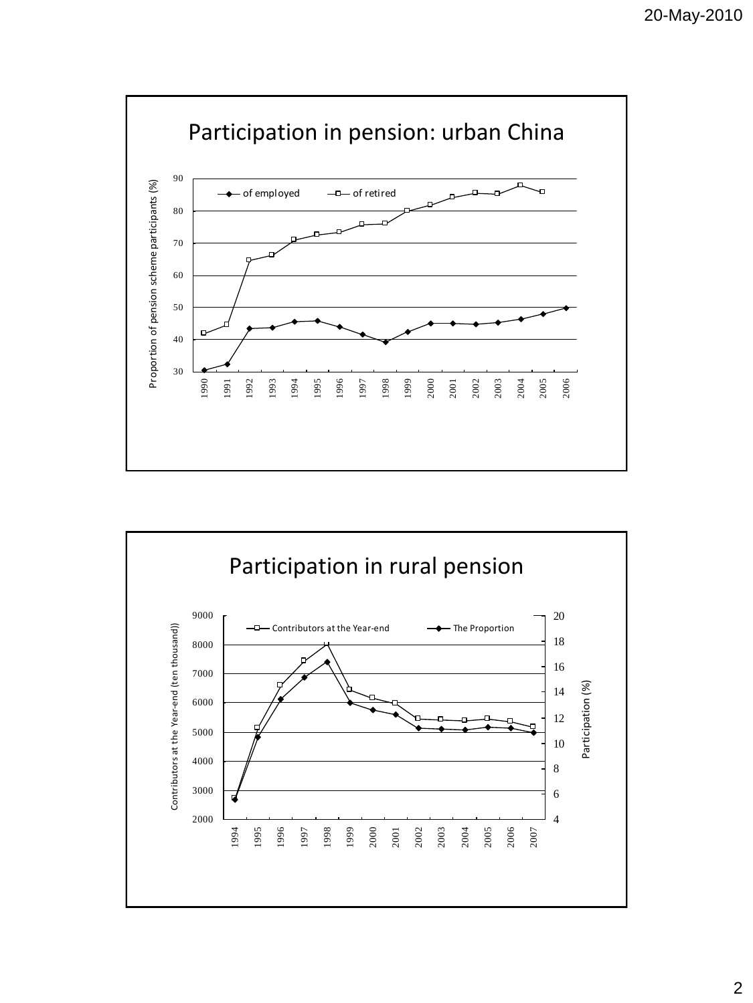

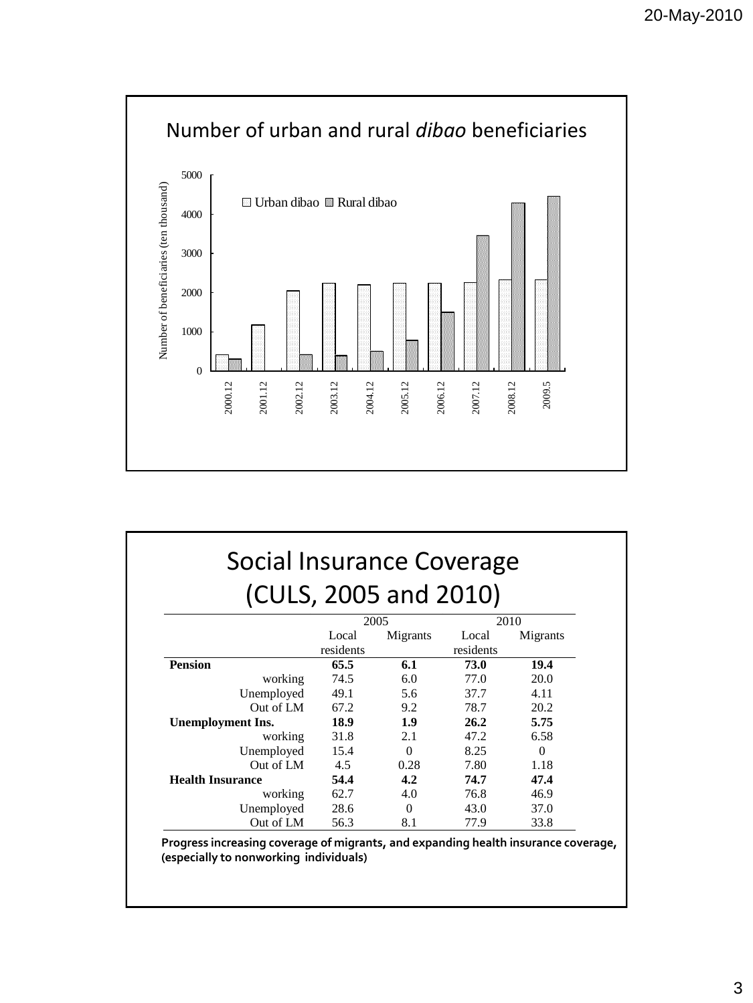

| Social Insurance Coverage |  |  |  |  |  |  |  |
|---------------------------|--|--|--|--|--|--|--|
| (CULS, 2005 and 2010)     |  |  |  |  |  |  |  |

|                         | 2005      |          |           | 2010     |
|-------------------------|-----------|----------|-----------|----------|
|                         | Local     | Migrants | Local     | Migrants |
|                         | residents |          | residents |          |
| <b>Pension</b>          | 65.5      | 6.1      | 73.0      | 19.4     |
| working                 | 74.5      | 6.0      | 77.0      | 20.0     |
| Unemployed              | 49.1      | 5.6      | 37.7      | 4.11     |
| Out of LM               | 67.2      | 9.2      | 78.7      | 20.2     |
| Unemployment Ins.       | 18.9      | 1.9      | 26.2      | 5.75     |
| working                 | 31.8      | 2.1      | 47.2      | 6.58     |
| Unemployed              | 15.4      | $\theta$ | 8.25      | $\Omega$ |
| Out of LM               | 4.5       | 0.28     | 7.80      | 1.18     |
| <b>Health Insurance</b> | 54.4      | 4.2      | 74.7      | 47.4     |
| working                 | 62.7      | 4.0      | 76.8      | 46.9     |
| Unemployed              | 28.6      | $\theta$ | 43.0      | 37.0     |
| Out of LM               | 56.3      | 8.1      | 77.9      | 33.8     |

**Progress increasing coverage of migrants, and expanding health insurance coverage, (especially to nonworking individuals)**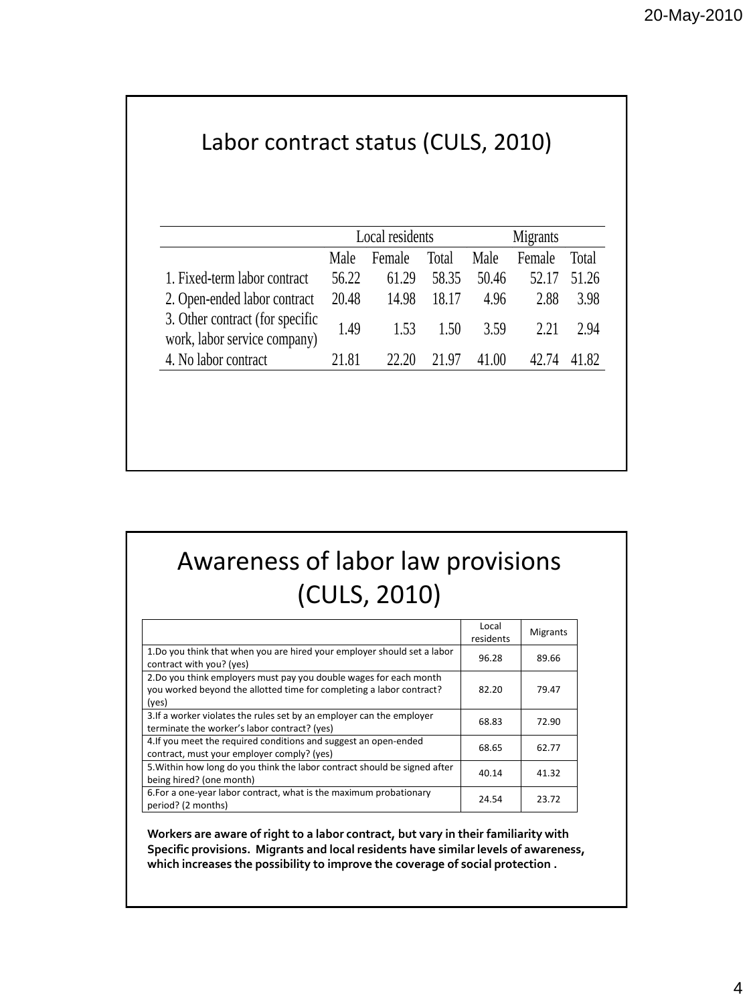## Labor contract status (CULS, 2010)

|                                                                 | Local residents |        |       | Migrants |        |       |  |
|-----------------------------------------------------------------|-----------------|--------|-------|----------|--------|-------|--|
|                                                                 | Male            | Female | Total | Male     | Female | Total |  |
| 1. Fixed-term labor contract                                    | 56.22           | 61.29  | 58.35 | 50.46    | 52.17  | 51.26 |  |
| 2. Open-ended labor contract                                    | 20.48           | 14.98  | 18.17 | 4.96     | 2.88   | 3.98  |  |
| 3. Other contract (for specific<br>work, labor service company) | 1.49            | 1.53   | 1.50  | 3.59     | 2.21   | 2.94  |  |
| 4. No labor contract                                            | 21.81           | 22.20  | 21.97 | 41.00    | 47 74  | 41.82 |  |

## Awareness of labor law provisions (CULS, 2010)

|                                                                                                                                                     | Local<br>residents | Migrants |
|-----------------------------------------------------------------------------------------------------------------------------------------------------|--------------------|----------|
| 1. Do you think that when you are hired your employer should set a labor<br>contract with you? (yes)                                                | 96.28              | 89.66    |
| 2. Do you think employers must pay you double wages for each month<br>you worked beyond the allotted time for completing a labor contract?<br>(yes) | 82.20              | 79.47    |
| 3. If a worker violates the rules set by an employer can the employer<br>terminate the worker's labor contract? (yes)                               | 68.83              | 72.90    |
| 4. If you meet the required conditions and suggest an open-ended<br>contract, must your employer comply? (yes)                                      | 68.65              | 62.77    |
| 5. Within how long do you think the labor contract should be signed after<br>being hired? (one month)                                               | 40.14              | 41.32    |
| 6. For a one-year labor contract, what is the maximum probationary<br>period? (2 months)                                                            | 24.54              | 23.72    |

**Workers are aware of right to a labor contract, but vary in their familiarity with Specific provisions. Migrants and local residents have similar levels of awareness, which increases the possibility to improve the coverage of social protection .**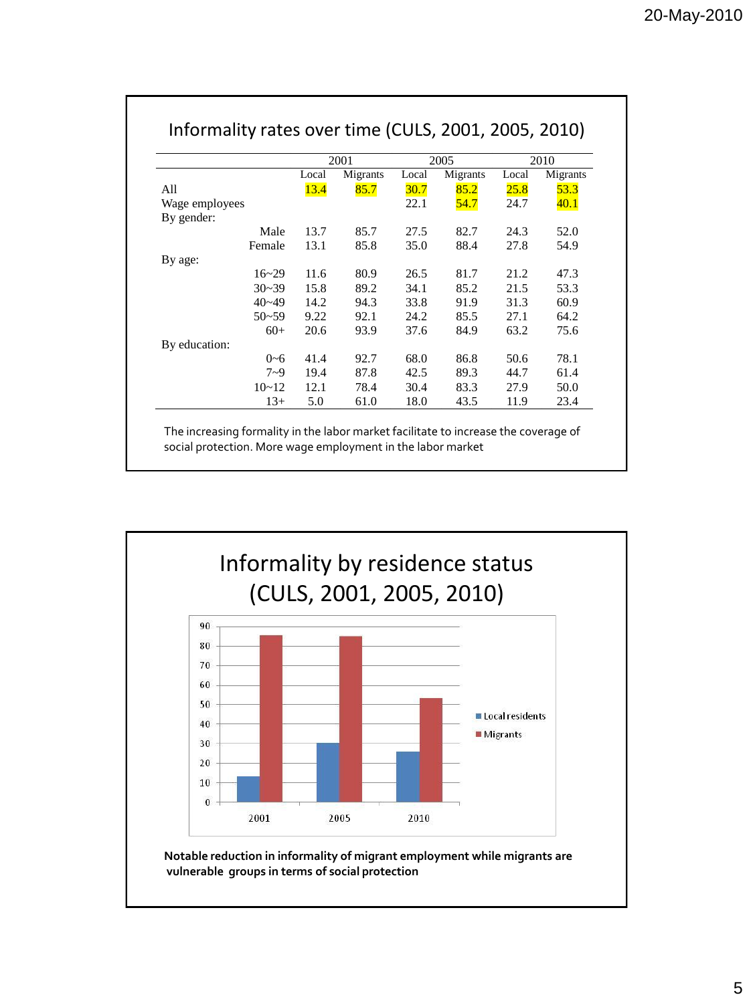|                |           | 2001  |          | 2005  |          | 2010  |          |
|----------------|-----------|-------|----------|-------|----------|-------|----------|
|                |           | Local | Migrants | Local | Migrants | Local | Migrants |
| All            |           | 13.4  | 85.7     | 30.7  | 85.2     | 25.8  | 53.3     |
| Wage employees |           |       |          | 22.1  | 54.7     | 24.7  | 40.1     |
| By gender:     |           |       |          |       |          |       |          |
|                | Male      | 13.7  | 85.7     | 27.5  | 82.7     | 24.3  | 52.0     |
|                | Female    | 13.1  | 85.8     | 35.0  | 88.4     | 27.8  | 54.9     |
| By age:        |           |       |          |       |          |       |          |
|                | $16 - 29$ | 11.6  | 80.9     | 26.5  | 81.7     | 21.2  | 47.3     |
|                | $30 - 39$ | 15.8  | 89.2     | 34.1  | 85.2     | 21.5  | 53.3     |
|                | $40 - 49$ | 14.2  | 94.3     | 33.8  | 91.9     | 31.3  | 60.9     |
|                | $50 - 59$ | 9.22  | 92.1     | 24.2  | 85.5     | 27.1  | 64.2     |
|                | $60+$     | 20.6  | 93.9     | 37.6  | 84.9     | 63.2  | 75.6     |
| By education:  |           |       |          |       |          |       |          |
|                | $0 - 6$   | 41.4  | 92.7     | 68.0  | 86.8     | 50.6  | 78.1     |
|                | $7 - 9$   | 19.4  | 87.8     | 42.5  | 89.3     | 44.7  | 61.4     |
|                | $10 - 12$ | 12.1  | 78.4     | 30.4  | 83.3     | 27.9  | 50.0     |
|                | $13+$     | 5.0   | 61.0     | 18.0  | 43.5     | 11.9  | 23.4     |

social protection. More wage employment in the labor market



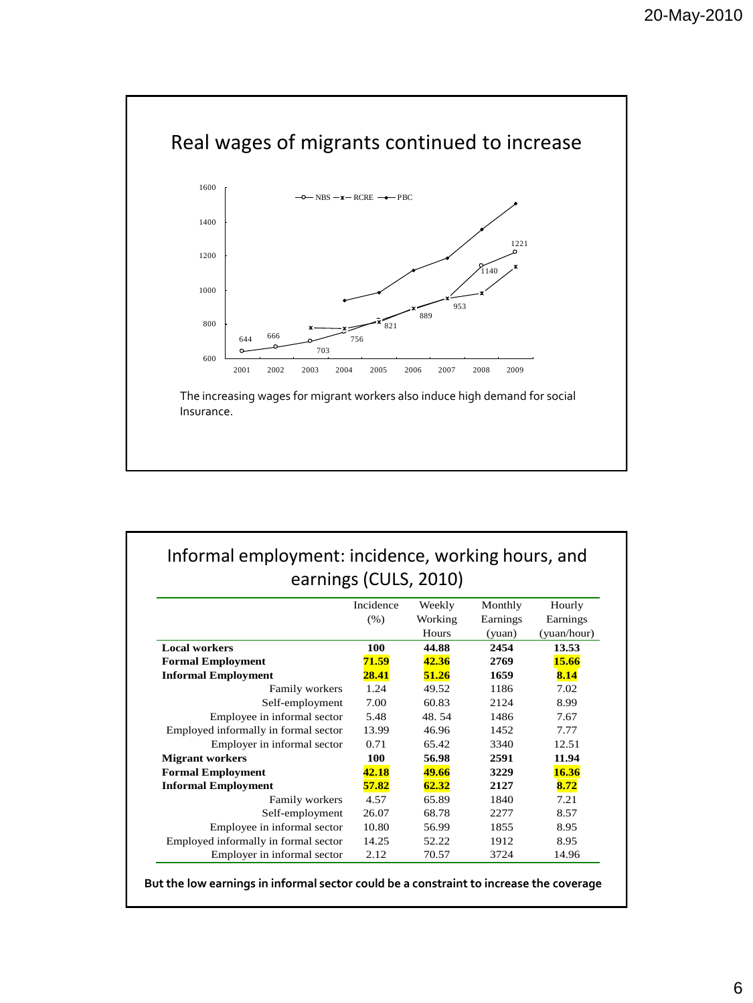

## Informal employment: incidence, working hours, and earnings (CULS, 2010)

|                                      | Incidence | Weekly  | Monthly  | Hourly      |
|--------------------------------------|-----------|---------|----------|-------------|
|                                      | (% )      | Working | Earnings | Earnings    |
|                                      |           | Hours   | (yuan)   | (yuan/hour) |
| <b>Local workers</b>                 | 100       | 44.88   | 2454     | 13.53       |
| <b>Formal Employment</b>             | 71.59     | 42.36   | 2769     | 15.66       |
| <b>Informal Employment</b>           | 28.41     | 51.26   | 1659     | 8.14        |
| Family workers                       | 1.24      | 49.52   | 1186     | 7.02        |
| Self-employment                      | 7.00      | 60.83   | 2124     | 8.99        |
| Employee in informal sector          | 5.48      | 48.54   | 1486     | 7.67        |
| Employed informally in formal sector | 13.99     | 46.96   | 1452     | 7.77        |
| Employer in informal sector          | 0.71      | 65.42   | 3340     | 12.51       |
| <b>Migrant workers</b>               | 100       | 56.98   | 2591     | 11.94       |
| <b>Formal Employment</b>             | 42.18     | 49.66   | 3229     | 16.36       |
| <b>Informal Employment</b>           | 57.82     | 62.32   | 2127     | 8.72        |
| Family workers                       | 4.57      | 65.89   | 1840     | 7.21        |
| Self-employment                      | 26.07     | 68.78   | 2277     | 8.57        |
| Employee in informal sector          | 10.80     | 56.99   | 1855     | 8.95        |
| Employed informally in formal sector | 14.25     | 52.22   | 1912     | 8.95        |
| Employer in informal sector          | 2.12      | 70.57   | 3724     | 14.96       |

**But the low earnings in informal sector could be a constraint to increase the coverage**